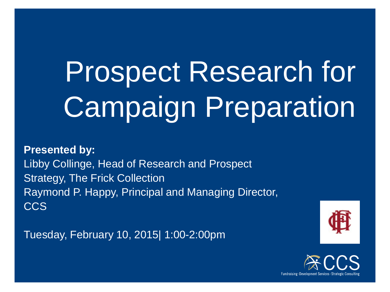# Prospect Research for Campaign Preparation

**Presented by:** Libby Collinge, Head of Research and Prospect Strategy, The Frick Collection Raymond P. Happy, Principal and Managing Director, CCS

Tuesday, February 10, 2015| 1:00-2:00pm



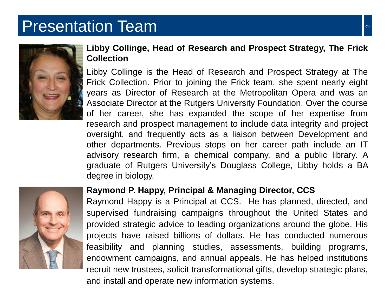#### Presentation Team 2008 and 2008 and 2008 and 2008 and 2008 and 2008 and 2008 and 2008 and 2008 and 2008 and 20



#### **Libby Collinge, Head of Research and Prospect Strategy, The Frick Collection**

Libby Collinge is the Head of Research and Prospect Strategy at The Frick Collection. Prior to joining the Frick team, she spent nearly eight years as Director of Research at the Metropolitan Opera and was an Associate Director at the Rutgers University Foundation. Over the course of her career, she has expanded the scope of her expertise from research and prospect management to include data integrity and project oversight, and frequently acts as a liaison between Development and other departments. Previous stops on her career path include an IT advisory research firm, a chemical company, and a public library. A graduate of Rutgers University's Douglass College, Libby holds a BA degree in biology.



#### **Raymond P. Happy, Principal & Managing Director, CCS**

Raymond Happy is a Principal at CCS. He has planned, directed, and supervised fundraising campaigns throughout the United States and provided strategic advice to leading organizations around the globe. His projects have raised billions of dollars. He has conducted numerous feasibility and planning studies, assessments, building programs, endowment campaigns, and annual appeals. He has helped institutions recruit new trustees, solicit transformational gifts, develop strategic plans, and install and operate new information systems.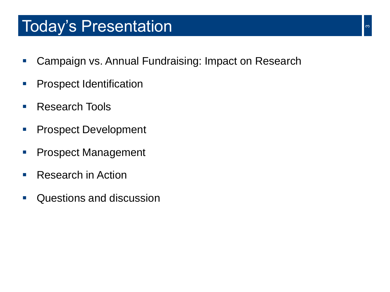#### Today's Presentation **300 million**

- **E.** Campaign vs. Annual Fundraising: Impact on Research
- **Prospect Identification**
- Research Tools
- **Prospect Development**
- **Prospect Management**
- Research in Action
- **Questions and discussion**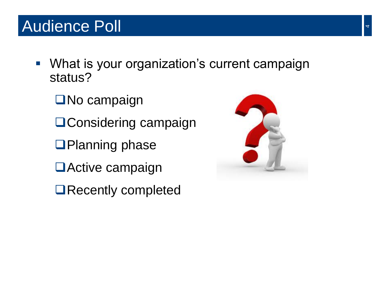- **What is your organization's current campaign** status?
	- **□No campaign**
	- **QConsidering campaign**
	- **QPlanning phase**
	- **□Active campaign**
	- **□Recently completed**

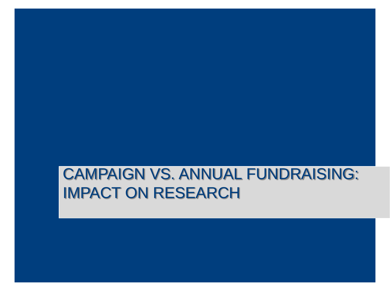#### CAMPAIGN VS. ANNUAL FUNDRAISING: IMPACT ON RESEARCH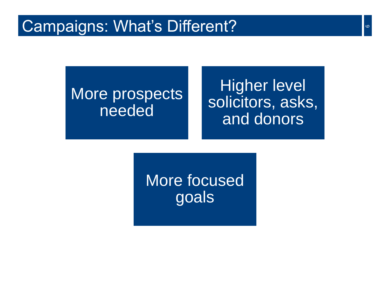#### More prospects needed

Higher level solicitors, asks, and donors

More focused goals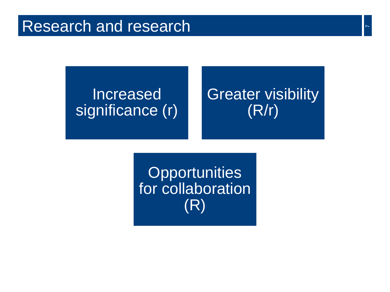#### Increased significance (r)

#### Greater visibility (R/r)

Opportunities for collaboration (R)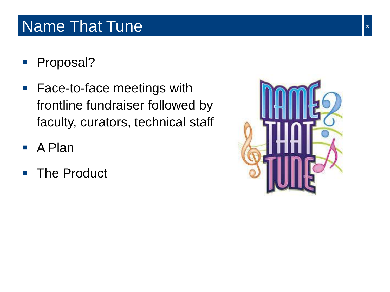#### Name That Tune 8 and 1990 and 1990 and 1990 and 1990 and 1990 and 1990 and 1990 and 1990 and 1990 and 1990 and

- **Proposal?**
- Face-to-face meetings with frontline fundraiser followed by faculty, curators, technical staff
- A Plan
- **The Product**

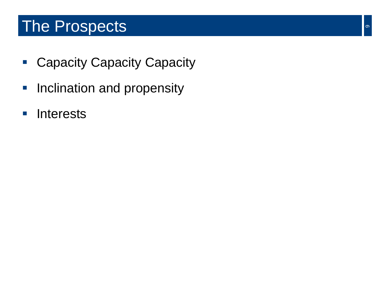#### The Prospects and the Prospects of the set of  $\sim$

- **Capacity Capacity Capacity**
- **Inclination and propensity**
- **Interests**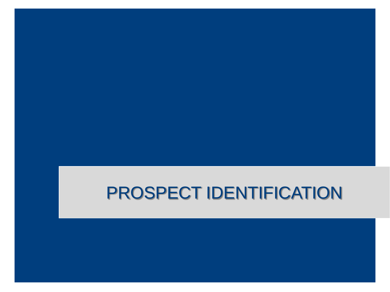#### PROSPECT IDENTIFICATION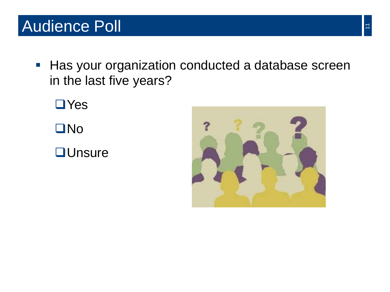**Has your organization conducted a database screen** in the last five years?

**□Yes ONO QU**nsure

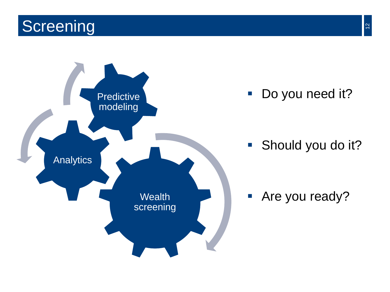## **Screening**

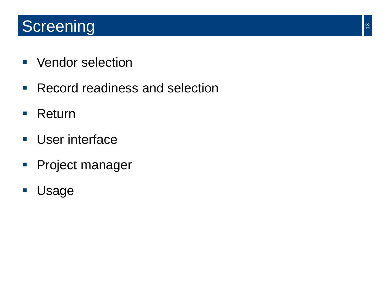# **Screening**

- **Vendor selection**
- **Record readiness and selection**
- **Return**
- **User interface**
- **Project manager**
- Usage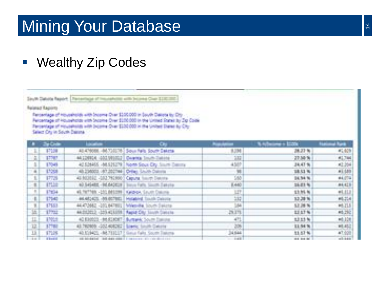### Mining Your Database

#### • Wealthy Zip Codes

South Databa Report The century of Insurances with bicame Clay \$100,000 **Related Reports** 

Recordage of Households with Scorne Dran \$100,000 in South Delote by Dry. Avicemage of Households with Societe Direct \$100,000 in the United States by Dp Code Terrentage of Households with bicome Dise \$130,000 in the United Dame by City Select Dry in South Delate

|                | te Crain           |                                              |                                                                             |                 | come o Elizio     |              |
|----------------|--------------------|----------------------------------------------|-----------------------------------------------------------------------------|-----------------|-------------------|--------------|
| 21             | FUE                | 純の印法                                         | Sour field South Dektte                                                     | 6204            | 28.27%            | $E_1 = 0.05$ |
| 床              | 17767              | 4412094 001301021 Carrier Inut-Zakins        |                                                                             | 湖               | 27.56%            | 61,744       |
| s              | 1598               |                                              | 42 S26455 -MLS25279   North Soux City Source Deemy                          |                 | 34.47%            | 42,254       |
| $\overline{a}$ | <b>L'OR</b>        | 45.236003. (67.202744   CHier, SAVIN Dalors) |                                                                             | $rac{4557}{98}$ | 18.51 %           | #1.089       |
| 7              | Pra                | 45 NGBEL-102791990 Caputa, South Dators-     |                                                                             | SW)             | 34.54 %           | <b>MATH</b>  |
| $\cdot$        | <b>ITLE</b>        |                                              | AD SASARE-REAADEDED book Fath, South Satyley                                | 8,440           | 36.81%            | 84,623       |
| ž.             | P104               | 45.9738. - 201.00329 EMPAN South Daline      |                                                                             | 取               | 13.95%            | $+1.11.7$    |
| ٠              | ETMI -             |                                              | AKASACS, (MARTIEL   Hyperiod South Cabota                                   | 232             | 12.28%            | 46,254       |
| x              | \$75.3             |                                              | 44472662 -201047891 Website, South Delicte                                  | 14              | 52,28%            | <b>MLZ15</b> |
| 匤              | 1774               |                                              | AKDIZEL2, -203-KE5339   Republiky Touch Conclu-                             | <b>BITE</b>     | <b>LESTA</b>      | <b>ML250</b> |
| 旦              | <b>LYGS</b>        |                                              | 40 EB0023 - REASONT - Bureamer, South Esecond                               | 但               | 12.32 %           | HELDE        |
| 12.            | <b>STEEL</b>       | 43.762800. (202.408282) Linery South Centre  |                                                                             | 306             | 11.54%            | HL452        |
| и              | \$7109             |                                              | 40.529423 - RE753227 2 Genus Fairs, South Traisma-                          | 34,644          | 11.57%            | 47.001       |
| -              | of the property of |                                              | and between the state state of the contract of the contract of the state of | <b>TIME</b>     | car at the car of | $-1144$      |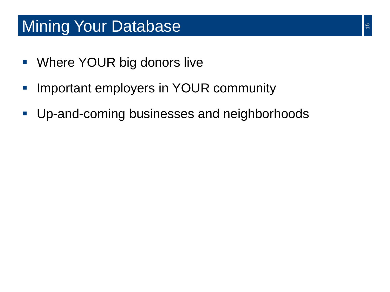#### **Mining Your Database**

- Where YOUR big donors live
- **Important employers in YOUR community**
- **Up-and-coming businesses and neighborhoods**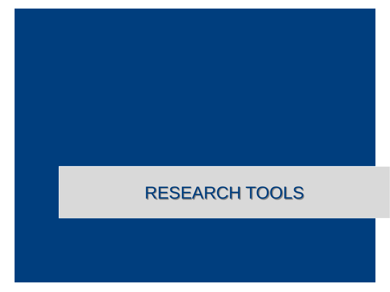# RESEARCH TOOLS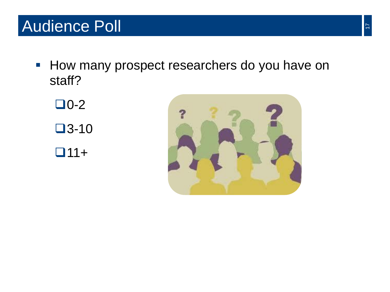#### Audience Poll

**How many prospect researchers do you have on** staff?

 $\Box$ 0-2  $\square$ 3-10  $\Box$ 11+

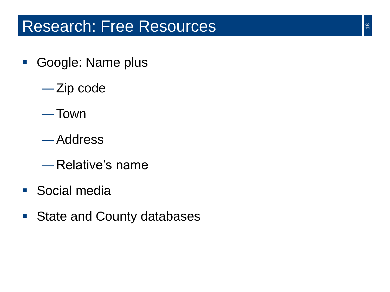#### Research: Free Resources

- Google: Name plus
	- ―Zip code
	- ―Town
	- ―Address
	- ―Relative's name
- Social media
- State and County databases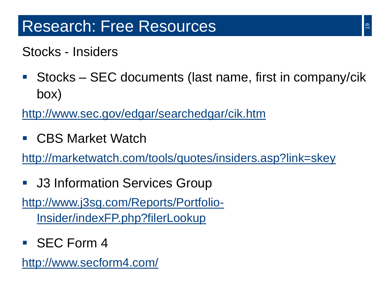Stocks - Insiders

■ Stocks – SEC documents (last name, first in company/cik box)

http://www.sec.gov/edgar/searchedgar/cik.htm

■ CBS Market Watch

http://marketwatch.com/tools/quotes/insiders.asp?link=skey

**J3 Information Services Group** 

[http://www.j3sg.com/Reports/Portfolio-](http://www.j3sg.com/Reports/Portfolio-Insider/indexFP.php?filerLookup)Insider/indexFP.php?filerLookup

SEC Form 4

http://www.secform4.com/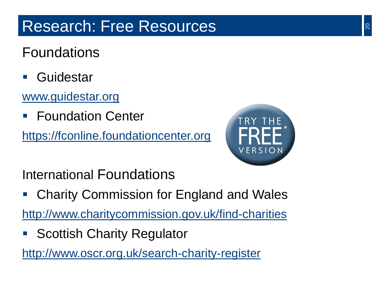#### Foundations

■ Guidestar

#### www.guidestar.org

Foundation Center

https://fconline.foundationcenter.org



International Foundations

Charity Commission for England and Wales

http://www.charitycommission.gov.uk/find-charities

**Scottish Charity Regulator** 

http://www.oscr.org.uk/search-charity-register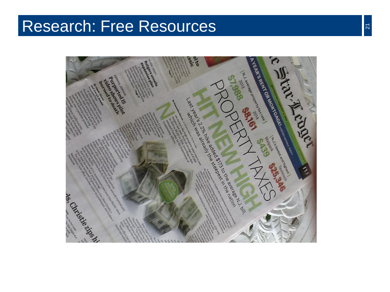#### Research: Free Resources

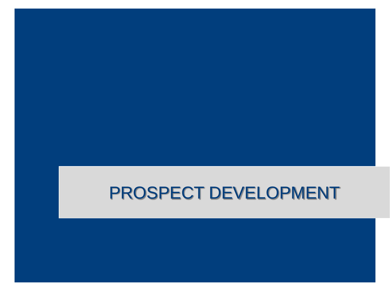# PROSPECT DEVELOPMENT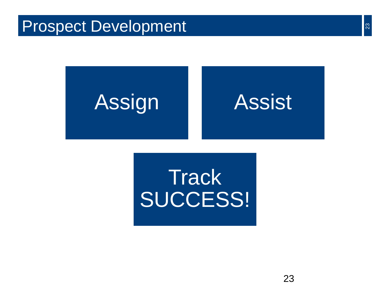#### Prospect Development



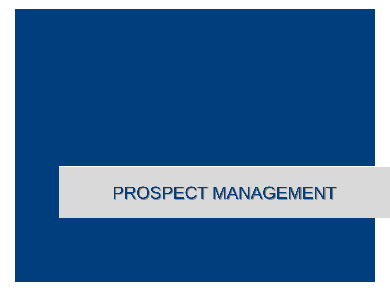# PROSPECT MANAGEMENT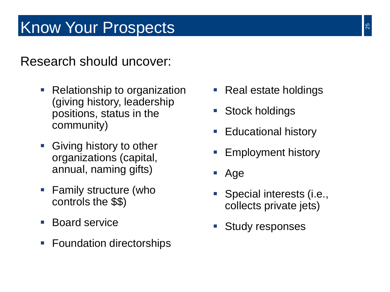# Know Your Prospects

Research should uncover:

- Relationship to organization (giving history, leadership positions, status in the community)
- Giving history to other organizations (capital, annual, naming gifts)
- Family structure (who controls the \$\$)
- **Board service**
- Foundation directorships
- Real estate holdings
- Stock holdings
- Educational history
- Employment history
- Age
- **Special interests (i.e.,** collects private jets)
- **Study responses**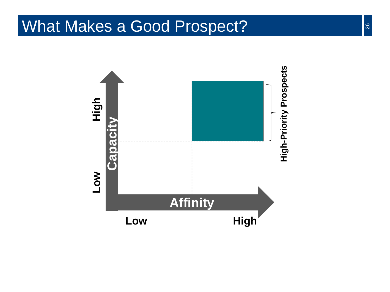#### What Makes a Good Prospect?

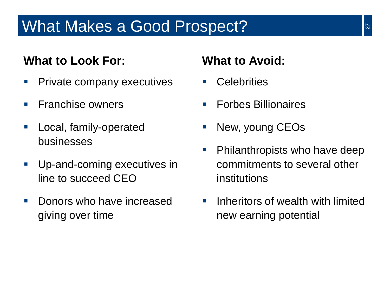#### What Makes a Good Prospect?

#### **What to Look For: What to Avoid:**

- **Private company executives**
- $\blacksquare$  Franchise owners
- **Local, family-operated** businesses
- **Up-and-coming executives in** line to succeed CEO
- **Donors who have increased** giving over time

- **Celebrities**
- Forbes Billionaires
- New, young CEOs
- **Philanthropists who have deep** commitments to several other institutions
- **If** Inheritors of wealth with limited new earning potential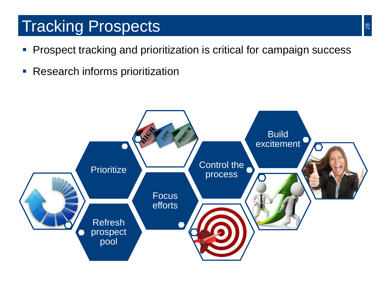#### Tracking Prospects

- **Prospect tracking and prioritization is critical for campaign success**
- **Research informs prioritization**

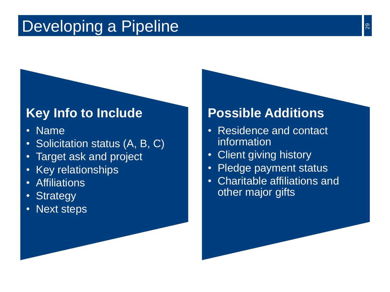#### Developing a Pipeline

#### **Key Info to Include**

- Name
- Solicitation status (A, B, C)
- Target ask and project
- Key relationships
- Affiliations
- Strategy
- Next steps

#### **Possible Additions**

- Residence and contact information
- Client giving history
- Pledge payment status
- Charitable affiliations and other major gifts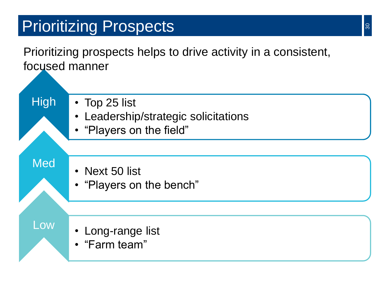# Prioritizing Prospects

Prioritizing prospects helps to drive activity in a consistent, focused manner

• Top 25 list

- Leadership/strategic solicitations
- "Players on the field"

Med

**High** 

- Next 50 list
- "Players on the bench"

Low

- Long-range list
- "Farm team"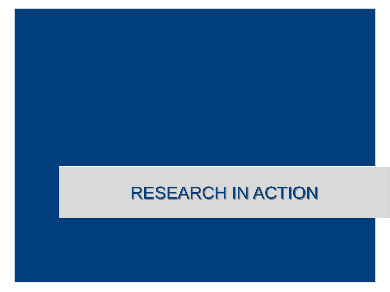# RESEARCH IN ACTION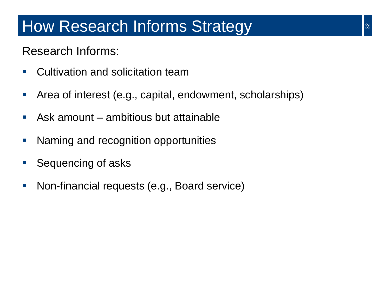#### How Research Informs Strategy

#### Research Informs:

- Cultivation and solicitation team
- Area of interest (e.g., capital, endowment, scholarships)
- Ask amount ambitious but attainable
- **Naming and recognition opportunities**
- **Sequencing of asks**
- **Non-financial requests (e.g., Board service)**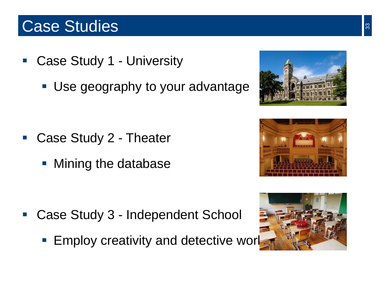#### Case Studies

- Case Study 1 University
	- **Use geography to your advantage**

- Case Study 2 Theater
	- **Mining the database**

- Case Study 3 Independent School
	- **Employ creativity and detective work**





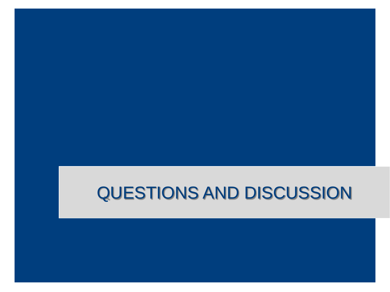# QUESTIONS AND DISCUSSION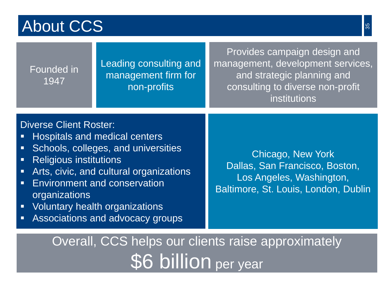#### About CCS

| Founded in<br>1947                                                                                                                                        | Leading consulting and<br>management firm for<br>non-profits                                                                                                                                                                        | Provides campaign design and<br>management, development services,<br>and strategic planning and<br>consulting to diverse non-profit<br>institutions |  |  |  |  |
|-----------------------------------------------------------------------------------------------------------------------------------------------------------|-------------------------------------------------------------------------------------------------------------------------------------------------------------------------------------------------------------------------------------|-----------------------------------------------------------------------------------------------------------------------------------------------------|--|--|--|--|
| <b>Diverse Client Roster:</b><br>E<br>Ξ<br><b>Religious institutions</b><br>Ξ<br>$\blacksquare$<br>$\blacksquare$<br>organizations<br>$\blacksquare$<br>Ξ | Hospitals and medical centers<br>Schools, colleges, and universities<br>Arts, civic, and cultural organizations<br><b>Environment and conservation</b><br><b>Voluntary health organizations</b><br>Associations and advocacy groups | Chicago, New York<br>Dallas, San Francisco, Boston,<br>Los Angeles, Washington,<br>Baltimore, St. Louis, London, Dublin                             |  |  |  |  |
| Overall, CCS helps our clients raise approximately                                                                                                        |                                                                                                                                                                                                                                     |                                                                                                                                                     |  |  |  |  |

**\$6 billion** per year